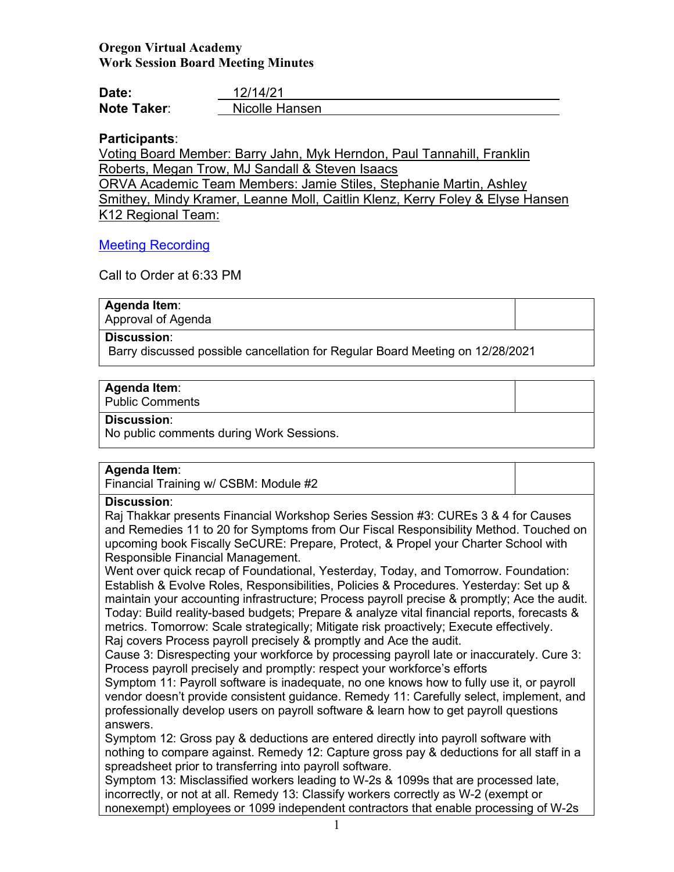## **Oregon Virtual Academy Work Session Board Meeting Minutes**

| Date:              | 12/14/21       |
|--------------------|----------------|
| <b>Note Taker:</b> | Nicolle Hansen |

## **Participants**:

Voting Board Member: Barry Jahn, Myk Herndon, Paul Tannahill, Franklin Roberts, Megan Trow, MJ Sandall & Steven Isaacs ORVA Academic Team Members: Jamie Stiles, Stephanie Martin, Ashley Smithey, Mindy Kramer, Leanne Moll, Caitlin Klenz, Kerry Foley & Elyse Hansen K12 Regional Team:

## [Meeting Recording](https://us02web.zoom.us/rec/share/_nfS__n4mxFNJSWmYP6srrx3eSYkQ1yBNbcS9MK4jGVrmjopsPEjg6U7_Sd0ZCsg.tUy8VPu_lPfQj6ZN?startTime=1639534925000)

Call to Order at 6:33 PM

## **Agenda Item**:

Approval of Agenda

### **Discussion**:

Barry discussed possible cancellation for Regular Board Meeting on 12/28/2021

## **Agenda Item**:

Public Comments

### **Discussion**:

No public comments during Work Sessions.

## **Agenda Item**:

Financial Training w/ CSBM: Module #2

## **Discussion**:

Raj Thakkar presents Financial Workshop Series Session #3: CUREs 3 & 4 for Causes and Remedies 11 to 20 for Symptoms from Our Fiscal Responsibility Method. Touched on upcoming book Fiscally SeCURE: Prepare, Protect, & Propel your Charter School with Responsible Financial Management.

Went over quick recap of Foundational, Yesterday, Today, and Tomorrow. Foundation: Establish & Evolve Roles, Responsibilities, Policies & Procedures. Yesterday: Set up & maintain your accounting infrastructure; Process payroll precise & promptly; Ace the audit. Today: Build reality-based budgets; Prepare & analyze vital financial reports, forecasts & metrics. Tomorrow: Scale strategically; Mitigate risk proactively; Execute effectively. Raj covers Process payroll precisely & promptly and Ace the audit.

Cause 3: Disrespecting your workforce by processing payroll late or inaccurately. Cure 3: Process payroll precisely and promptly: respect your workforce's efforts

Symptom 11: Payroll software is inadequate, no one knows how to fully use it, or payroll vendor doesn't provide consistent guidance. Remedy 11: Carefully select, implement, and professionally develop users on payroll software & learn how to get payroll questions answers.

Symptom 12: Gross pay & deductions are entered directly into payroll software with nothing to compare against. Remedy 12: Capture gross pay & deductions for all staff in a spreadsheet prior to transferring into payroll software.

Symptom 13: Misclassified workers leading to W-2s & 1099s that are processed late, incorrectly, or not at all. Remedy 13: Classify workers correctly as W-2 (exempt or nonexempt) employees or 1099 independent contractors that enable processing of W-2s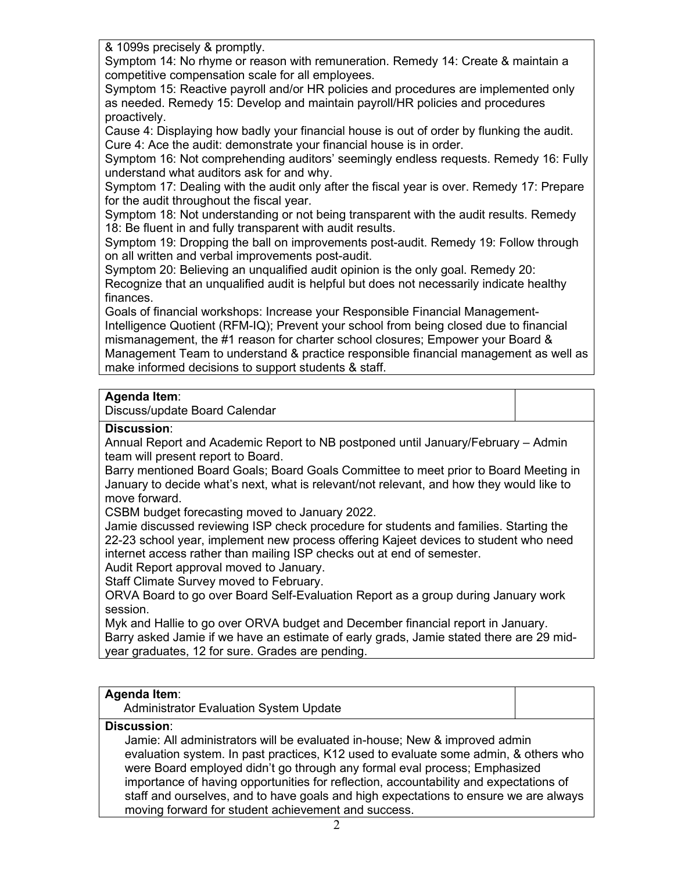& 1099s precisely & promptly.

Symptom 14: No rhyme or reason with remuneration. Remedy 14: Create & maintain a competitive compensation scale for all employees.

Symptom 15: Reactive payroll and/or HR policies and procedures are implemented only as needed. Remedy 15: Develop and maintain payroll/HR policies and procedures proactively.

Cause 4: Displaying how badly your financial house is out of order by flunking the audit. Cure 4: Ace the audit: demonstrate your financial house is in order.

Symptom 16: Not comprehending auditors' seemingly endless requests. Remedy 16: Fully understand what auditors ask for and why.

Symptom 17: Dealing with the audit only after the fiscal year is over. Remedy 17: Prepare for the audit throughout the fiscal year.

Symptom 18: Not understanding or not being transparent with the audit results. Remedy 18: Be fluent in and fully transparent with audit results.

Symptom 19: Dropping the ball on improvements post-audit. Remedy 19: Follow through on all written and verbal improvements post-audit.

Symptom 20: Believing an unqualified audit opinion is the only goal. Remedy 20: Recognize that an unqualified audit is helpful but does not necessarily indicate healthy finances.

Goals of financial workshops: Increase your Responsible Financial Management-Intelligence Quotient (RFM-IQ); Prevent your school from being closed due to financial mismanagement, the #1 reason for charter school closures; Empower your Board & Management Team to understand & practice responsible financial management as well as make informed decisions to support students & staff.

# **Agenda Item**:

Discuss/update Board Calendar

## **Discussion**:

Annual Report and Academic Report to NB postponed until January/February – Admin team will present report to Board.

Barry mentioned Board Goals; Board Goals Committee to meet prior to Board Meeting in January to decide what's next, what is relevant/not relevant, and how they would like to move forward.

CSBM budget forecasting moved to January 2022.

Jamie discussed reviewing ISP check procedure for students and families. Starting the 22-23 school year, implement new process offering Kajeet devices to student who need internet access rather than mailing ISP checks out at end of semester.

Audit Report approval moved to January.

Staff Climate Survey moved to February.

ORVA Board to go over Board Self-Evaluation Report as a group during January work session.

Myk and Hallie to go over ORVA budget and December financial report in January. Barry asked Jamie if we have an estimate of early grads, Jamie stated there are 29 midyear graduates, 12 for sure. Grades are pending.

# **Agenda Item**:

Administrator Evaluation System Update

## **Discussion**:

Jamie: All administrators will be evaluated in-house; New & improved admin evaluation system. In past practices, K12 used to evaluate some admin, & others who were Board employed didn't go through any formal eval process; Emphasized importance of having opportunities for reflection, accountability and expectations of staff and ourselves, and to have goals and high expectations to ensure we are always moving forward for student achievement and success.